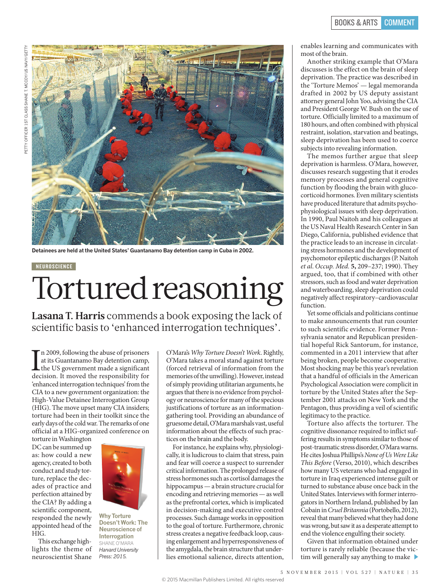

**Detainees are held at the United States' Guantanamo Bay detention camp in Cuba in 2002.**

## **NEUROSCIENCE**

## Tortured reasoning

**Lasana T. Harris** commends a book exposing the lack of scientific basis to 'enhanced interrogation techniques'.

In 2009, following the abuse of prisoners<br>at its Guantanamo Bay detention camp,<br>the US government made a significant<br>decision. It moved the responsibility for n 2009, following the abuse of prisoners at its Guantanamo Bay detention camp, the US government made a significant 'enhanced interrogation techniques' from the CIA to a new government organization: the High-Value Detainee Interrogation Group (HIG). The move upset many CIA insiders; torture had been in their toolkit since the early days of the cold war. The remarks of one official at a HIG-organized conference on

torture in Washington DC can be summed up as: how could a new agency, created to both conduct and study torture, replace the decades of practice and perfection attained by the CIA? By adding a scientific component, responded the newly appointed head of the HIG.

This exchange highlights the theme of neuroscientist Shane



**Why Torture Doesn't Work: The Neuroscience of Interrogation** SHANE O'MARA *Harvard University Press: 2015.*

O'Mara's *Why Torture Doesn't Work*. Rightly, O'Mara takes a moral stand against torture (forced retrieval of information from the memories of the unwilling). However, instead of simply providing utilitarian arguments, he argues that there is no evidence from psychology or neuroscience for many of the specious justifications of torture as an informationgathering tool. Providing an abundance of gruesome detail, O'Mara marshals vast, useful information about the effects of such practices on the brain and the body.

For instance, he explains why, physiologically, it is ludicrous to claim that stress, pain and fear will coerce a suspect to surrender critical information. The prolonged release of stress hormones such as cortisol damages the hippocampus — a brain structure crucial for encoding and retrieving memories — as well as the prefrontal cortex, which is implicated in decision-making and executive control processes. Such damage works in opposition to the goal of torture. Furthermore, chronic stress creates a negative feedback loop, causing enlargement and hyperresponsiveness of the amygdala, the brain structure that underlies emotional salience, directs attention, enables learning and communicates with most of the brain.

Another striking example that O'Mara discusses is the effect on the brain of sleep deprivation. The practice was described in the 'Torture Memos' — legal memoranda drafted in 2002 by US deputy assistant attorney general John Yoo, advising the CIA and President George W. Bush on the use of torture. Officially limited to a maximum of 180 hours, and often combined with physical restraint, isolation, starvation and beatings, sleep deprivation has been used to coerce subjects into revealing information.

The memos further argue that sleep deprivation is harmless. O'Mara, however, discusses research suggesting that it erodes memory processes and general cognitive function by flooding the brain with glucocorticoid hormones. Even military scientists have produced literature that admits psychophysiological issues with sleep deprivation. In 1990, Paul Naitoh and his colleagues at the US Naval Health Research Center in San Diego, California, published evidence that the practice leads to an increase in circulating stress hormones and the development of psychomotor epileptic discharges (P. Naitoh *et al*. *Occup. Med.* **5,** 209–237; 1990). They argued, too, that if combined with other stressors, such as food and water deprivation and waterboarding, sleep deprivation could negatively affect respiratory–cardiovascular function.

Yet some officials and politicians continue to make announcements that run counter to such scientific evidence. Former Pennsylvania senator and Republican presidential hopeful Rick Santorum, for instance, commented in a 2011 interview that after being broken, people become cooperative. Most shocking may be this year's revelation that a handful of officials in the American Psychological Association were complicit in torture by the United States after the September 2001 attacks on New York and the Pentagon, thus providing a veil of scientific legitimacy to the practice.

Torture also affects the torturer. The cognitive dissonance required to inflict suffering results in symptoms similar to those of post-traumatic stress disorder, O'Mara warns. He cites Joshua Phillips's *None of Us Were Like This Before* (Verso, 2010), which describes how many US veterans who had engaged in torture in Iraq experienced intense guilt or turned to substance abuse once back in the United States. Interviews with former interrogators in Northern Ireland, published by Ian Cobain in *Cruel Britannia* (Portobello, 2012), reveal that many believed what they had done was wrong, but saw it as a desperate attempt to end the violence engulfing their society.

Given that information obtained under torture is rarely reliable (because the victim will generally say anything to make  $\blacktriangleright$